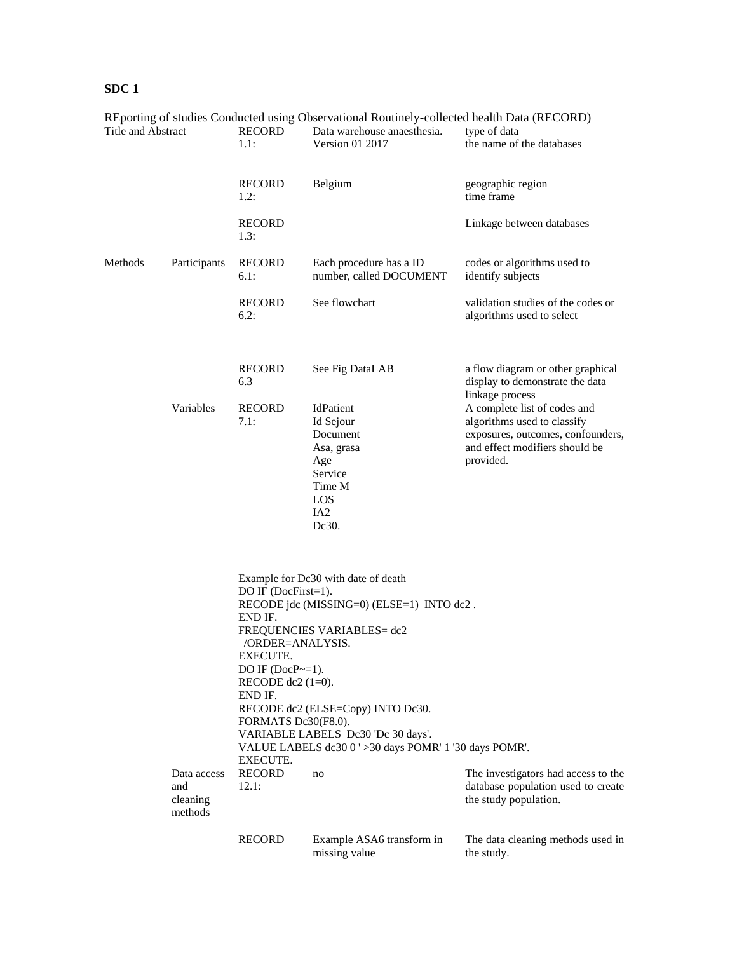| Title and Abstract |                                           | <b>RECORD</b><br>1.1:                                                                                                                                     | REporting of studies Conducted using Observational Routinely-collected nealth Data (RECORD)<br>Data warehouse anaesthesia.<br>Version 01 2017 | type of data<br>the name of the databases                                                                                                       |  |  |
|--------------------|-------------------------------------------|-----------------------------------------------------------------------------------------------------------------------------------------------------------|-----------------------------------------------------------------------------------------------------------------------------------------------|-------------------------------------------------------------------------------------------------------------------------------------------------|--|--|
|                    |                                           | <b>RECORD</b><br>1.2:                                                                                                                                     | Belgium                                                                                                                                       | geographic region<br>time frame                                                                                                                 |  |  |
|                    |                                           | <b>RECORD</b><br>1.3:                                                                                                                                     |                                                                                                                                               | Linkage between databases                                                                                                                       |  |  |
| Methods            | Participants                              | <b>RECORD</b><br>6.1:                                                                                                                                     | Each procedure has a ID<br>number, called DOCUMENT                                                                                            | codes or algorithms used to<br>identify subjects                                                                                                |  |  |
|                    |                                           | <b>RECORD</b><br>6.2:                                                                                                                                     | See flowchart                                                                                                                                 | validation studies of the codes or<br>algorithms used to select                                                                                 |  |  |
|                    |                                           | <b>RECORD</b><br>6.3                                                                                                                                      | See Fig DataLAB                                                                                                                               | a flow diagram or other graphical<br>display to demonstrate the data<br>linkage process                                                         |  |  |
|                    | Variables                                 | <b>RECORD</b><br>7.1:                                                                                                                                     | IdPatient<br>Id Sejour<br>Document<br>Asa, grasa<br>Age<br>Service<br>Time M<br><b>LOS</b><br>IA <sub>2</sub><br>Dc30.                        | A complete list of codes and<br>algorithms used to classify<br>exposures, outcomes, confounders,<br>and effect modifiers should be<br>provided. |  |  |
|                    |                                           | DO IF $(DocFirst=1)$ .<br>END IF.<br>/ORDER=ANALYSIS.<br>EXECUTE.<br>DO IF $(DocP \sim=1)$ .<br>RECODE dc2 $(1=0)$ .<br>END IF.                           | Example for Dc30 with date of death<br>RECODE jdc (MISSING=0) (ELSE=1) INTO dc2.<br>FREQUENCIES VARIABLES= dc2                                |                                                                                                                                                 |  |  |
|                    |                                           | RECODE dc2 (ELSE=Copy) INTO Dc30.<br>FORMATS Dc30(F8.0).<br>VARIABLE LABELS Dc30 'Dc 30 days'.<br>VALUE LABELS dc30 0 ' > 30 days POMR' 1 '30 days POMR'. |                                                                                                                                               |                                                                                                                                                 |  |  |
|                    | Data access<br>and<br>cleaning<br>methods | EXECUTE.<br><b>RECORD</b><br>12.1:                                                                                                                        | no                                                                                                                                            | The investigators had access to the<br>database population used to create<br>the study population.                                              |  |  |
|                    |                                           | <b>RECORD</b>                                                                                                                                             | Example ASA6 transform in<br>missing value                                                                                                    | The data cleaning methods used in<br>the study.                                                                                                 |  |  |

REporting of studies Conducted using Observational Routinely-collected health Data (RECORD)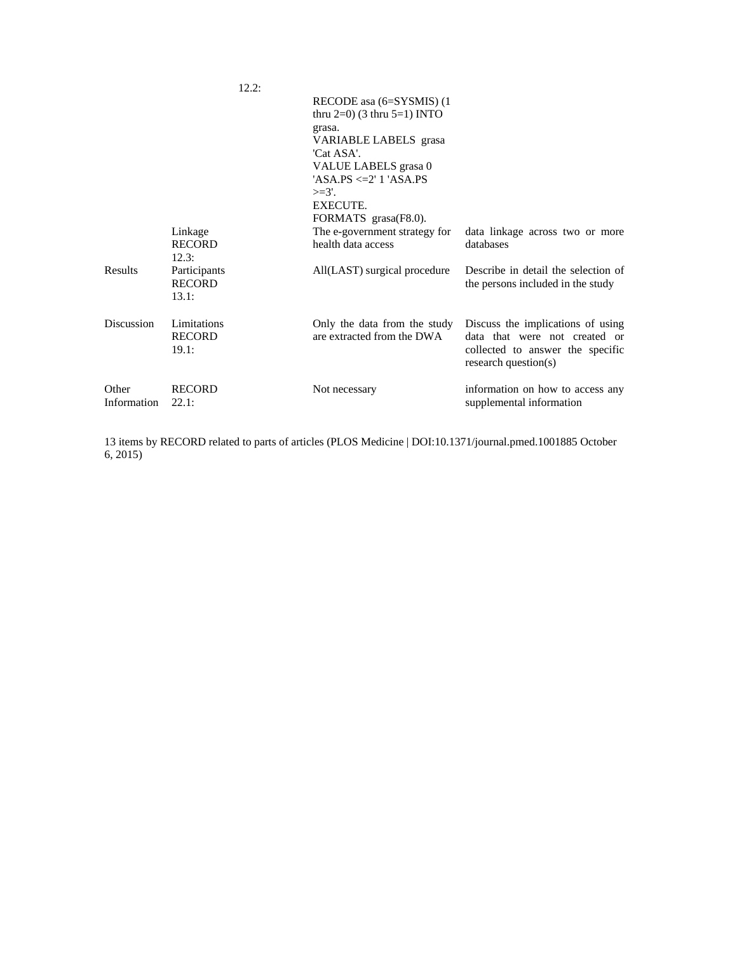|                      |                                        | 12.2: |                                                                                                                                                                                                                              |                                                                                                                                |
|----------------------|----------------------------------------|-------|------------------------------------------------------------------------------------------------------------------------------------------------------------------------------------------------------------------------------|--------------------------------------------------------------------------------------------------------------------------------|
|                      |                                        |       | RECODE as a (6=SYSMIS) (1)<br>thru $2=0$ ) (3 thru $5=1$ ) INTO<br>grasa.<br>VARIABLE LABELS grasa<br>'Cat ASA'.<br>VALUE LABELS grasa 0<br>$'ASA.PS \leq 2' 1'ASA.PS$<br>$>=3'.$<br><b>EXECUTE.</b><br>FORMATS grasa(F8.0). |                                                                                                                                |
|                      | Linkage<br><b>RECORD</b><br>12.3:      |       | The e-government strategy for<br>health data access                                                                                                                                                                          | data linkage across two or more<br>databases                                                                                   |
| Results              | Participants<br><b>RECORD</b><br>13.1: |       | All(LAST) surgical procedure                                                                                                                                                                                                 | Describe in detail the selection of<br>the persons included in the study                                                       |
| <b>Discussion</b>    | Limitations<br><b>RECORD</b><br>19.1:  |       | Only the data from the study<br>are extracted from the DWA                                                                                                                                                                   | Discuss the implications of using<br>data that were not created or<br>collected to answer the specific<br>research question(s) |
| Other<br>Information | <b>RECORD</b><br>22.1:                 |       | Not necessary                                                                                                                                                                                                                | information on how to access any<br>supplemental information                                                                   |

13 items by RECORD related to parts of articles (PLOS Medicine | DOI:10.1371/journal.pmed.1001885 October 6, 2015)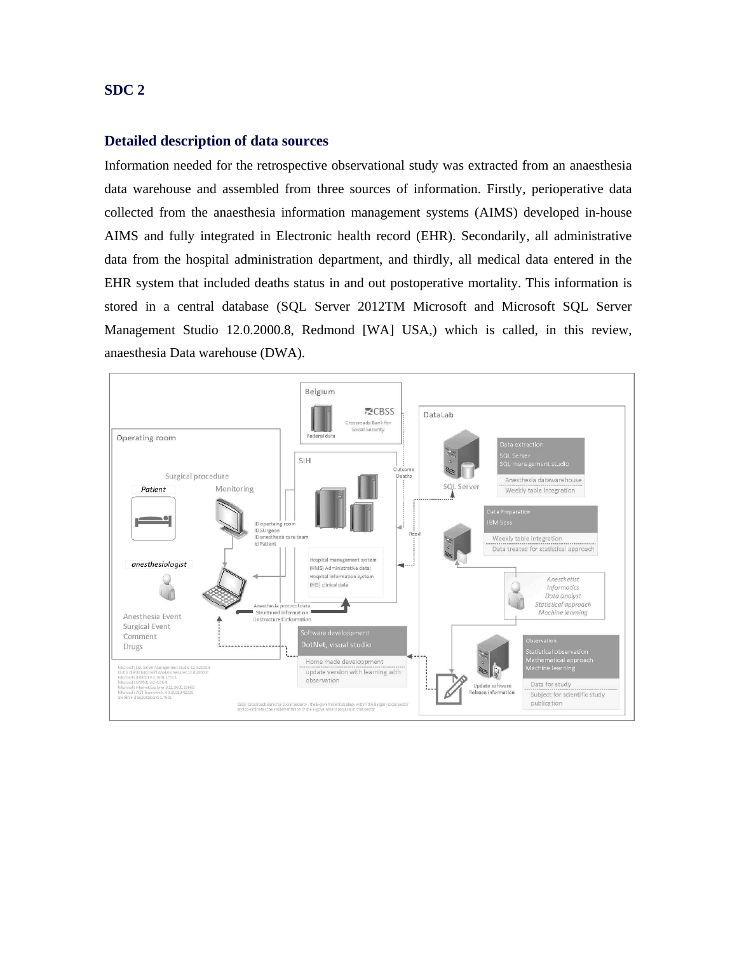## **Detailed description of data sources**

Information needed for the retrospective observational study was extracted from an anaesthesia data warehouse and assembled from three sources of information. Firstly, perioperative data collected from the anaesthesia information management systems (AIMS) developed in-house AIMS and fully integrated in Electronic health record (EHR). Secondarily, all administrative data from the hospital administration department, and thirdly, all medical data entered in the EHR system that included deaths status in and out postoperative mortality. This information is stored in a central database (SQL Server 2012TM Microsoft and Microsoft SQL Server Management Studio 12.0.2000.8, Redmond [WA] USA,) which is called, in this review, anaesthesia Data warehouse (DWA).

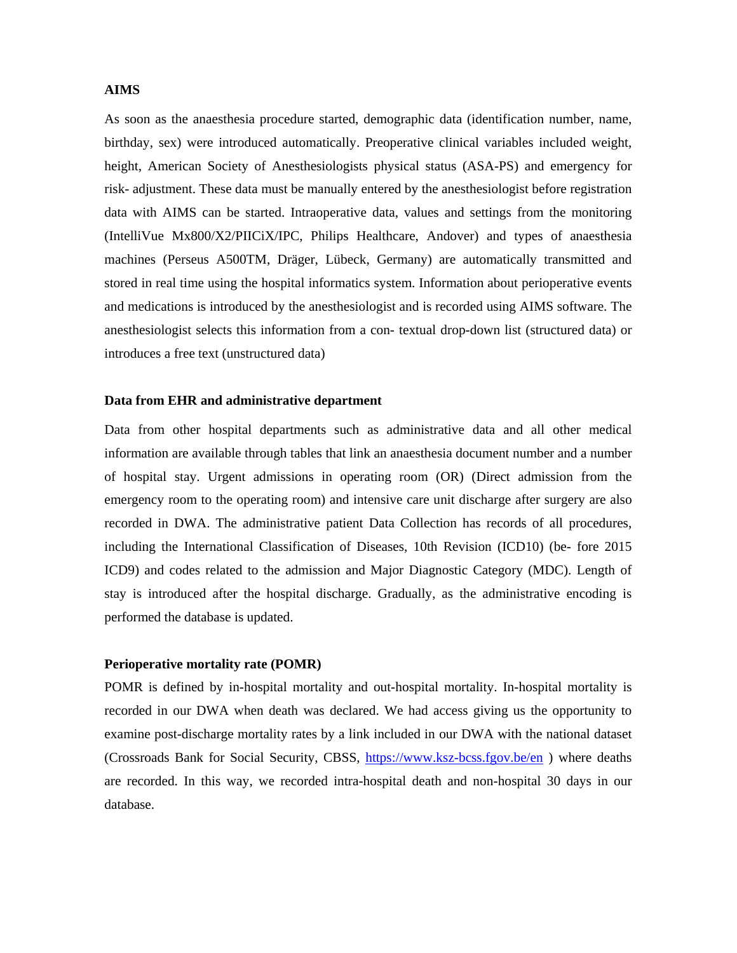#### **AIMS**

As soon as the anaesthesia procedure started, demographic data (identification number, name, birthday, sex) were introduced automatically. Preoperative clinical variables included weight, height, American Society of Anesthesiologists physical status (ASA-PS) and emergency for risk- adjustment. These data must be manually entered by the anesthesiologist before registration data with AIMS can be started. Intraoperative data, values and settings from the monitoring (IntelliVue Mx800/X2/PIICiX/IPC, Philips Healthcare, Andover) and types of anaesthesia machines (Perseus A500TM, Dräger, Lübeck, Germany) are automatically transmitted and stored in real time using the hospital informatics system. Information about perioperative events and medications is introduced by the anesthesiologist and is recorded using AIMS software. The anesthesiologist selects this information from a con- textual drop-down list (structured data) or introduces a free text (unstructured data)

#### **Data from EHR and administrative department**

Data from other hospital departments such as administrative data and all other medical information are available through tables that link an anaesthesia document number and a number of hospital stay. Urgent admissions in operating room (OR) (Direct admission from the emergency room to the operating room) and intensive care unit discharge after surgery are also recorded in DWA. The administrative patient Data Collection has records of all procedures, including the International Classification of Diseases, 10th Revision (ICD10) (be- fore 2015 ICD9) and codes related to the admission and Major Diagnostic Category (MDC). Length of stay is introduced after the hospital discharge. Gradually, as the administrative encoding is performed the database is updated.

#### **Perioperative mortality rate (POMR)**

POMR is defined by in-hospital mortality and out-hospital mortality. In-hospital mortality is recorded in our DWA when death was declared. We had access giving us the opportunity to examine post-discharge mortality rates by a link included in our DWA with the national dataset (Crossroads Bank for Social Security, CBSS, https://www.ksz-bcss.fgov.be/en ) where deaths are recorded. In this way, we recorded intra-hospital death and non-hospital 30 days in our database.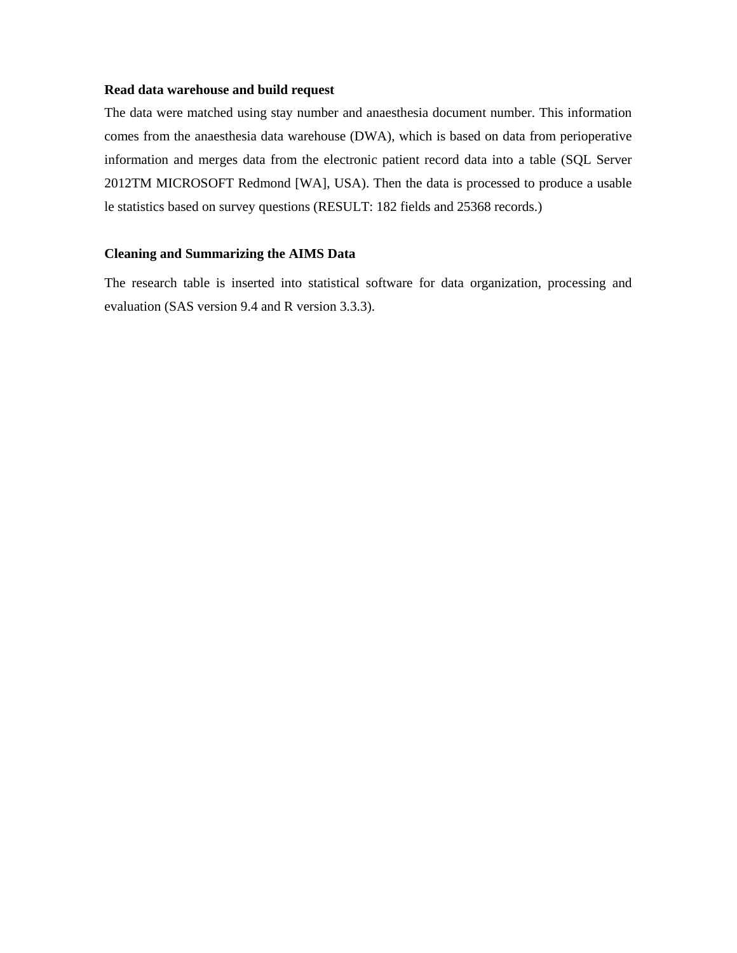### **Read data warehouse and build request**

The data were matched using stay number and anaesthesia document number. This information comes from the anaesthesia data warehouse (DWA), which is based on data from perioperative information and merges data from the electronic patient record data into a table (SQL Server 2012TM MICROSOFT Redmond [WA], USA). Then the data is processed to produce a usable le statistics based on survey questions (RESULT: 182 fields and 25368 records.)

## **Cleaning and Summarizing the AIMS Data**

The research table is inserted into statistical software for data organization, processing and evaluation (SAS version 9.4 and R version 3.3.3).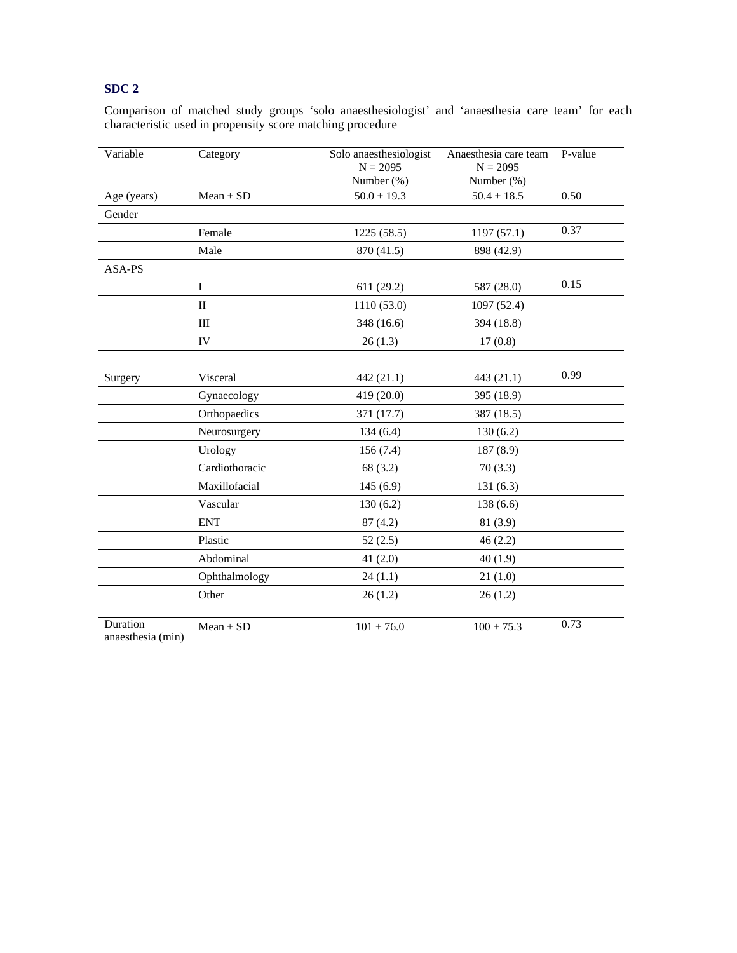Comparison of matched study groups 'solo anaesthesiologist' and 'anaesthesia care team' for each characteristic used in propensity score matching procedure

| Variable                      | Category       | Solo anaesthesiologist<br>$N = 2095$<br>Number (%) | Anaesthesia care team<br>$N = 2095$<br>Number (%) | P-value |
|-------------------------------|----------------|----------------------------------------------------|---------------------------------------------------|---------|
| Age (years)                   | $Mean \pm SD$  | $50.0 \pm 19.3$                                    | $50.4 \pm 18.5$                                   | 0.50    |
| Gender                        |                |                                                    |                                                   |         |
|                               | Female         | 1225 (58.5)                                        | 1197(57.1)                                        | 0.37    |
|                               | Male           | 870 (41.5)                                         | 898 (42.9)                                        |         |
| ASA-PS                        |                |                                                    |                                                   |         |
|                               | $\bf{I}$       | 611 (29.2)                                         | 587 (28.0)                                        | 0.15    |
|                               | $\mathbf{I}$   | 1110 (53.0)                                        | 1097 (52.4)                                       |         |
|                               | III            | 348 (16.6)                                         | 394 (18.8)                                        |         |
|                               | IV             | 26(1.3)                                            | 17(0.8)                                           |         |
|                               |                |                                                    |                                                   |         |
| Surgery                       | Visceral       | 442 (21.1)                                         | 443 (21.1)                                        | 0.99    |
|                               | Gynaecology    | 419 (20.0)                                         | 395 (18.9)                                        |         |
|                               | Orthopaedics   | 371 (17.7)                                         | 387 (18.5)                                        |         |
|                               | Neurosurgery   | 134(6.4)                                           | 130(6.2)                                          |         |
|                               | Urology        | 156(7.4)                                           | 187 (8.9)                                         |         |
|                               | Cardiothoracic | 68 (3.2)                                           | 70(3.3)                                           |         |
|                               | Maxillofacial  | 145(6.9)                                           | 131(6.3)                                          |         |
|                               | Vascular       | 130(6.2)                                           | 138(6.6)                                          |         |
|                               | <b>ENT</b>     | 87(4.2)                                            | 81 (3.9)                                          |         |
|                               | Plastic        | 52(2.5)                                            | 46(2.2)                                           |         |
|                               | Abdominal      | 41 $(2.0)$                                         | 40(1.9)                                           |         |
|                               | Ophthalmology  | 24(1.1)                                            | 21(1.0)                                           |         |
|                               | Other          | 26(1.2)                                            | 26(1.2)                                           |         |
|                               |                |                                                    |                                                   |         |
| Duration<br>anaesthesia (min) | $Mean \pm SD$  | $101 \pm 76.0$                                     | $100 \pm 75.3$                                    | 0.73    |